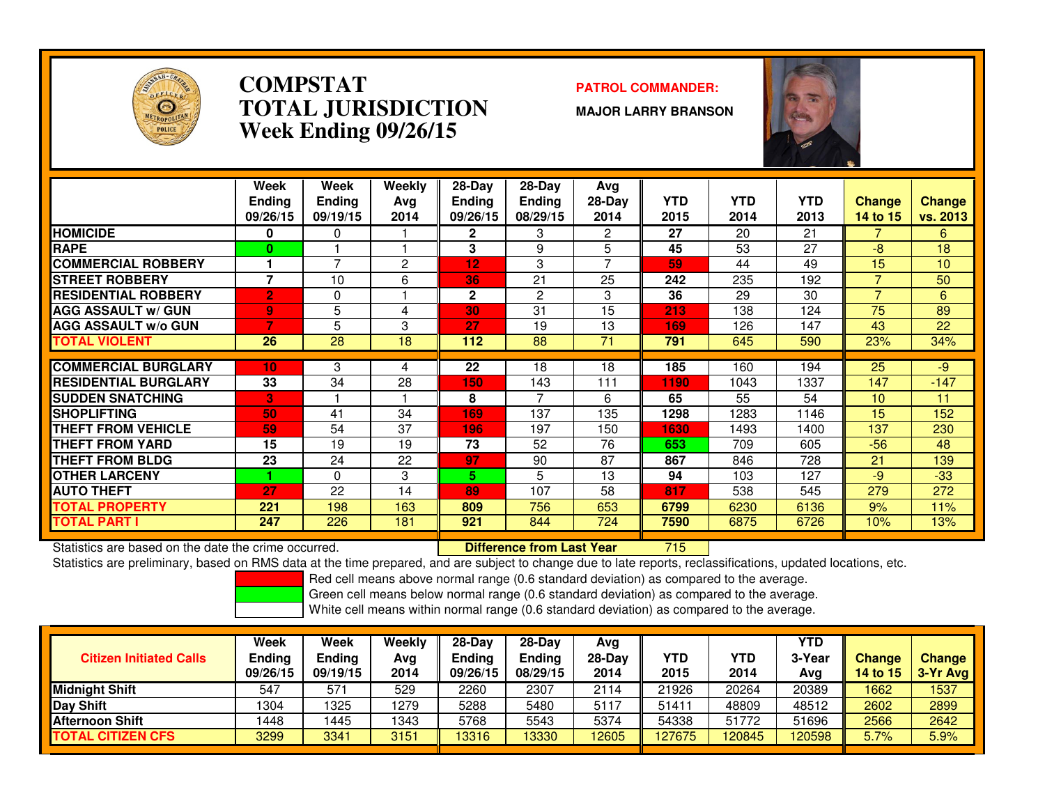

### **COMPSTATPATROL COMMANDER:**<br> **PATROL COMMANDER: TOTAL JURISDICTIONWeek Ending 09/26/15**

**MAJOR LARRY BRANSON**



|                              | Week<br><b>Ending</b><br>09/26/15 | Week<br><b>Endina</b><br>09/19/15 | Weekly<br>Ava<br>2014 | $28-Day$<br><b>Endina</b><br>09/26/15 | $28-Day$<br>Ending<br>08/29/15 | Avg<br>$28-Day$<br>2014 | <b>YTD</b><br>2015 | <b>YTD</b><br>2014 | <b>YTD</b><br>2013 | <b>Change</b><br>14 to 15 | <b>Change</b><br>vs. 2013 |
|------------------------------|-----------------------------------|-----------------------------------|-----------------------|---------------------------------------|--------------------------------|-------------------------|--------------------|--------------------|--------------------|---------------------------|---------------------------|
| <b>HOMICIDE</b>              | 0                                 | 0                                 |                       | $\mathbf{2}$                          | 3                              | 2                       | 27                 | 20                 | 21                 | 7                         | 6                         |
| <b>RAPE</b>                  | $\bf{0}$                          |                                   |                       | 3                                     | 9                              | 5                       | 45                 | 53                 | 27                 | $-8$                      | 18                        |
| <b>COMMERCIAL ROBBERY</b>    |                                   | ⇁                                 | 2                     | $12 \,$                               | 3                              | 7                       | 59                 | 44                 | 49                 | 15                        | 10                        |
| <b>ISTREET ROBBERY</b>       |                                   | 10                                | 6                     | 36                                    | 21                             | 25                      | 242                | 235                | 192                |                           | 50                        |
| <b>IRESIDENTIAL ROBBERY</b>  | $\overline{2}$                    | 0                                 |                       | $\mathbf{2}$                          | 2                              | 3                       | 36                 | 29                 | 30                 | 7                         | 6                         |
| <b>AGG ASSAULT w/ GUN</b>    | 9                                 | 5                                 | 4                     | 30                                    | 31                             | 15                      | 213                | 138                | 124                | 75                        | 89                        |
| <b>IAGG ASSAULT w/o GUN</b>  |                                   | 5                                 | 3                     | 27                                    | 19                             | 13                      | 169                | 126                | 147                | 43                        | 22                        |
| <b>TOTAL VIOLENT</b>         | 26                                | 28                                | 18                    | 112                                   | 88                             | 71                      | 791                | 645                | 590                | 23%                       | 34%                       |
|                              |                                   |                                   |                       |                                       |                                |                         |                    |                    |                    |                           |                           |
| <b>COMMERCIAL BURGLARY</b>   | 10 <sub>1</sub>                   | 3                                 | 4                     | 22                                    | 18                             | 18                      | 185                | 160                | 194                | 25                        | $-9$                      |
| <b>IRESIDENTIAL BURGLARY</b> | 33                                | 34                                | 28                    | 150                                   | 143                            | 111                     | 1190               | 1043               | 1337               | 147                       | $-147$                    |
| <b>ISUDDEN SNATCHING</b>     | B                                 |                                   |                       | 8                                     |                                | 6                       | 65                 | 55                 | 54                 | 10                        | 11                        |
| <b>ISHOPLIFTING</b>          | 50                                | 41                                | 34                    | 169                                   | 137                            | 135                     | 1298               | 1283               | 1146               | 15                        | 152                       |
| <b>THEFT FROM VEHICLE</b>    | 59                                | 54                                | 37                    | 196                                   | 197                            | 150                     | 1630               | 1493               | 1400               | 137                       | 230                       |
| <b>THEFT FROM YARD</b>       | 15                                | 19                                | 19                    | 73                                    | 52                             | 76                      | 653                | 709                | 605                | $-56$                     | 48                        |
| <b>THEFT FROM BLDG</b>       | 23                                | 24                                | 22                    | 97                                    | 90                             | 87                      | 867                | 846                | 728                | 21                        | 139                       |
| <b>OTHER LARCENY</b>         |                                   | 0                                 | 3                     | 5                                     | 5                              | 13                      | 94                 | 103                | 127                | $-9$                      | $-33$                     |
| <b>AUTO THEFT</b>            | 27                                | 22                                | 14                    | 89                                    | 107                            | 58                      | 817                | 538                | 545                | 279                       | 272                       |
| <b>TOTAL PROPERTY</b>        | 221                               | 198                               | 163                   | 809                                   | 756                            | 653                     | 6799               | 6230               | 6136               | 9%                        | 11%                       |
| <b>TOTAL PART I</b>          | 247                               | 226                               | 181                   | 921                                   | 844                            | 724                     | 7590               | 6875               | 6726               | 10%                       | 13%                       |

Statistics are based on the date the crime occurred. **Difference from Last Year** 

Statistics are based on the date the crime occurred. **[19] Letter Lubber 10 Letter Conduct Statistics** are based on the date time occurred.<br>Statistics are preliminary, based on RMS data at the time prepared, and are subjec

Red cell means above normal range (0.6 standard deviation) as compared to the average.

Green cell means below normal range (0.6 standard deviation) as compared to the average.

| <b>Citizen Initiated Calls</b> | Week<br>Ending<br>09/26/15 | <b>Week</b><br><b>Ending</b><br>09/19/15 | Weekly<br>Avg<br>2014 | 28-Dav<br>Ending<br>09/26/15 | $28-Day$<br>Ending<br>08/29/15 | Avg<br>$28-Day$<br>2014 | YTD<br>2015 | YTD<br>2014 | YTD<br>3-Year<br>Avg | <b>Change</b><br><b>14 to 15</b> | <b>Change</b><br>3-Yr Avg |
|--------------------------------|----------------------------|------------------------------------------|-----------------------|------------------------------|--------------------------------|-------------------------|-------------|-------------|----------------------|----------------------------------|---------------------------|
| Midnight Shift                 | 547                        | 571                                      | 529                   | 2260                         | 2307                           | 2114                    | 21926       | 20264       | 20389                | 1662                             | 1537                      |
| Day Shift                      | 1304                       | 1325                                     | 1279                  | 5288                         | 5480                           | 5117                    | 5141        | 48809       | 48512                | 2602                             | 2899                      |
| <b>IAfternoon Shift</b>        | 1448                       | 1445                                     | 1343                  | 5768                         | 5543                           | 5374                    | 54338       | 51772       | 51696                | 2566                             | 2642                      |
| <b>TOTAL CITIZEN CFS</b>       | 3299                       | 3341                                     | 3151                  | 13316                        | 13330                          | 12605                   | 127675      | 120845      | 120598               | 5.7%                             | 5.9%                      |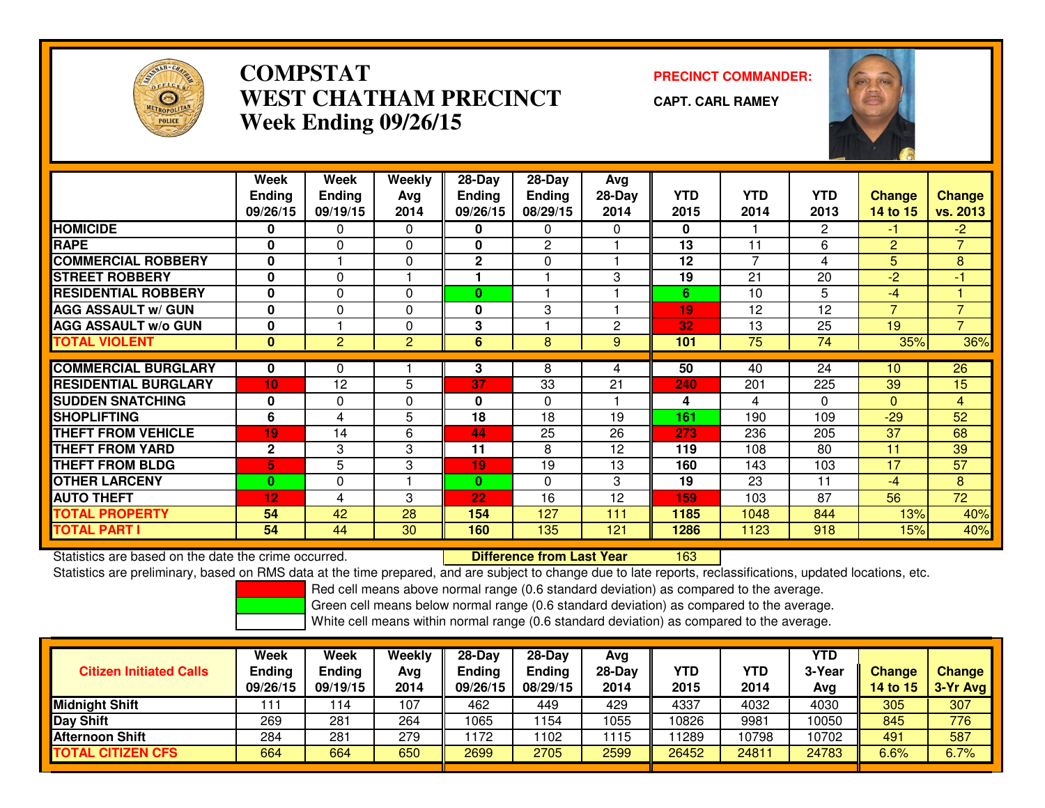

## **COMPSTAT PRECINCT COMMANDER: WEST CHATHAM PRECINCTWeek Ending 09/26/15**

**CAPT. CARL RAMEY**



|                             | Week<br><b>Ending</b><br>09/26/15 | Week<br><b>Ending</b><br>09/19/15 | Weekly<br>Avg<br>2014 | $28-Day$<br><b>Ending</b><br>09/26/15 | 28-Day<br><b>Ending</b><br>08/29/15 | Avg<br>$28-Day$<br>2014 | <b>YTD</b><br>2015 | <b>YTD</b><br>2014 | <b>YTD</b><br>2013 | <b>Change</b><br>14 to 15 | <b>Change</b><br>vs. 2013 |
|-----------------------------|-----------------------------------|-----------------------------------|-----------------------|---------------------------------------|-------------------------------------|-------------------------|--------------------|--------------------|--------------------|---------------------------|---------------------------|
| <b>HOMICIDE</b>             | 0                                 | $\Omega$                          | 0                     | 0                                     | 0                                   | 0                       | $\bf{0}$           |                    | $\overline{2}$     | -1.                       | $-2$                      |
| <b>RAPE</b>                 | 0                                 | 0                                 | 0                     | 0                                     | 2                                   |                         | 13                 | 11                 | 6                  | $\overline{2}$            | $\overline{7}$            |
| <b>COMMERCIAL ROBBERY</b>   | 0                                 |                                   | $\Omega$              | $\mathbf 2$                           | $\Omega$                            |                         | 12                 | 7                  | 4                  | 5                         | 8                         |
| <b>STREET ROBBERY</b>       | $\mathbf{0}$                      | 0                                 |                       |                                       |                                     | 3                       | 19                 | 21                 | 20                 | $-2$                      | $-1$                      |
| <b>RESIDENTIAL ROBBERY</b>  | 0                                 | 0                                 | $\Omega$              | $\bf{0}$                              |                                     |                         | 6                  | 10                 | 5                  | $-4$                      |                           |
| <b>AGG ASSAULT w/ GUN</b>   | $\mathbf 0$                       | 0                                 | $\Omega$              | 0                                     | 3                                   |                         | 19                 | 12                 | 12                 | $\overline{7}$            | $\overline{7}$            |
| <b>AGG ASSAULT w/o GUN</b>  | 0                                 |                                   | 0                     | 3                                     |                                     | $\mathbf{2}$            | 32                 | 13                 | 25                 | 19                        | $\overline{7}$            |
| <b>TOTAL VIOLENT</b>        | 0                                 | $\overline{2}$                    | $\overline{2}$        | 6                                     | 8                                   | 9                       | 101                | 75                 | 74                 | 35%                       | 36%                       |
|                             |                                   |                                   |                       |                                       |                                     |                         |                    |                    |                    |                           |                           |
| <b>COMMERCIAL BURGLARY</b>  | 0                                 | $\Omega$                          |                       | 3                                     | 8                                   | 4                       | 50                 | 40                 | 24                 | 10                        | 26                        |
| <b>RESIDENTIAL BURGLARY</b> | 10                                | 12                                | 5                     | 37                                    | 33                                  | 21                      | 240                | 201                | 225                | 39                        | 15                        |
| <b>SUDDEN SNATCHING</b>     | 0                                 | 0                                 | 0                     | 0                                     | $\Omega$                            |                         | 4                  | 4                  | $\Omega$           | $\Omega$                  | $\overline{4}$            |
| <b>SHOPLIFTING</b>          | 6                                 | 4                                 | 5                     | 18                                    | 18                                  | 19                      | 161                | 190                | 109                | $-29$                     | 52                        |
| <b>THEFT FROM VEHICLE</b>   | 19                                | 14                                | 6                     | 44                                    | 25                                  | 26                      | 273                | 236                | 205                | 37                        | 68                        |
| <b>THEFT FROM YARD</b>      | $\mathbf 2$                       | 3                                 | 3                     | 11                                    | 8                                   | 12                      | 119                | 108                | 80                 | 11                        | 39                        |
| <b>THEFT FROM BLDG</b>      | 5.                                | 5                                 | 3                     | 19                                    | 19                                  | 13                      | 160                | 143                | 103                | $\overline{17}$           | $\overline{57}$           |
| <b>OTHER LARCENY</b>        | $\mathbf{0}$                      | $\Omega$                          |                       | $\bf{0}$                              | $\Omega$                            | 3                       | 19                 | 23                 | 11                 | $-4$                      | 8                         |
| <b>AUTO THEFT</b>           | 12                                | 4                                 | 3                     | 22                                    | 16                                  | 12                      | 159                | 103                | 87                 | 56                        | $\overline{72}$           |
| <b>TOTAL PROPERTY</b>       | 54                                | 42                                | 28                    | 154                                   | 127                                 | 111                     | 1185               | 1048               | 844                | 13%                       | 40%                       |
| <b>TOTAL PART I</b>         | 54                                | 44                                | 30                    | 160                                   | 135                                 | 121                     | 1286               | 1123               | 918                | 15%                       | 40%                       |

Statistics are based on the date the crime occurred. **Difference from Last Year** 

<sup>163</sup>

Statistics are preliminary, based on RMS data at the time prepared, and are subject to change due to late reports, reclassifications, updated locations, etc.

Red cell means above normal range (0.6 standard deviation) as compared to the average.

Green cell means below normal range (0.6 standard deviation) as compared to the average.

| <b>Citizen Initiated Calls</b> | Week<br><b>Ending</b><br>09/26/15 | <b>Week</b><br><b>Ending</b><br>09/19/15 | Weekly<br>Avg<br>2014 | $28-Dav$<br>Ending<br>09/26/15 | $28-Day$<br><b>Ending</b><br>08/29/15 | Avg<br>$28$ -Day<br>2014 | YTD<br>2015 | YTD<br>2014 | YTD<br>3-Year<br>Avg | <b>Change</b><br>14 to 15 | <b>Change</b><br>3-Yr Avg |
|--------------------------------|-----------------------------------|------------------------------------------|-----------------------|--------------------------------|---------------------------------------|--------------------------|-------------|-------------|----------------------|---------------------------|---------------------------|
| <b>Midnight Shift</b>          | ' 11                              | 14                                       | 107                   | 462                            | 449                                   | 429                      | 4337        | 4032        | 4030                 | 305                       | 307                       |
| Day Shift                      | 269                               | 281                                      | 264                   | 1065                           | 154                                   | 1055                     | 10826       | 9981        | 10050                | 845                       | 776                       |
| <b>Afternoon Shift</b>         | 284                               | 281                                      | 279                   | 172                            | 102                                   | 1115                     | 1289        | 10798       | 10702                | 491                       | 587                       |
| <b>TOTAL CITIZEN CFS</b>       | 664                               | 664                                      | 650                   | 2699                           | 2705                                  | 2599                     | 26452       | 24811       | 24783                | $6.6\%$                   | 6.7%                      |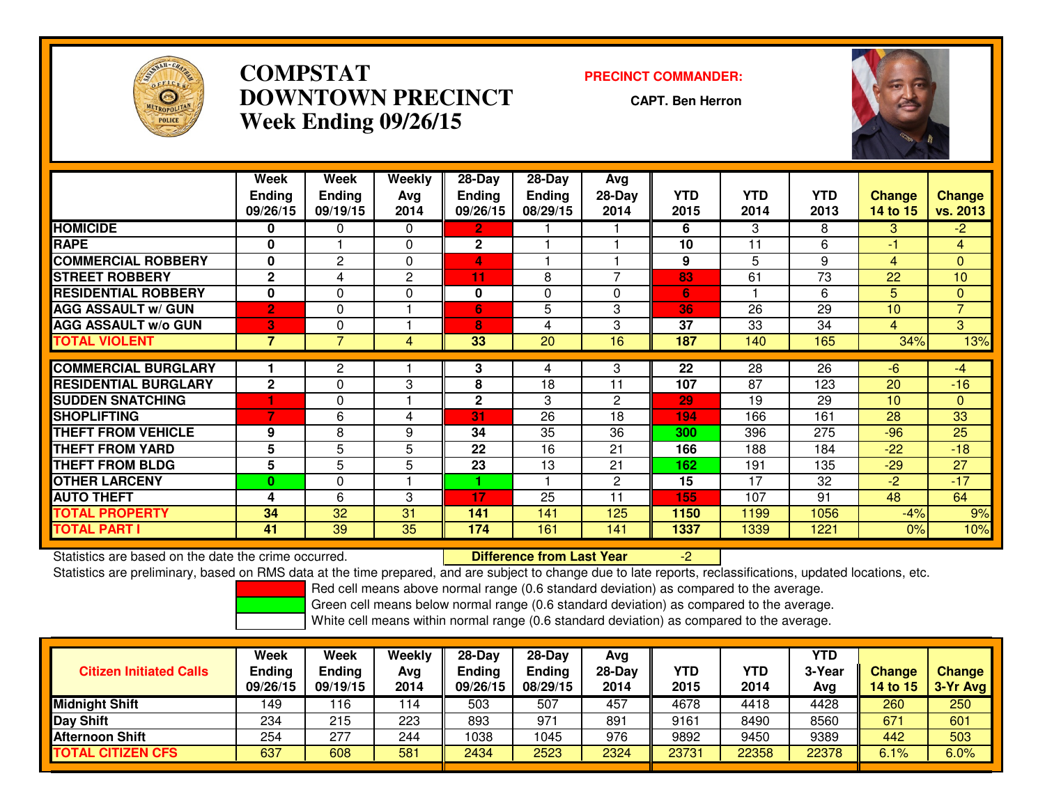

## **COMPSTAT PRECINCT COMMANDER: DOWNTOWN PRECINCTWeek Ending 09/26/15**

**CAPT. Ben Herron**



|                             | Week<br><b>Ending</b><br>09/26/15 | Week<br><b>Ending</b><br>09/19/15 | Weekly<br>Avg<br>2014 | $28-Day$<br><b>Ending</b><br>09/26/15 | $28$ -Day<br><b>Ending</b><br>08/29/15 | Avg<br>28-Day<br>2014 | <b>YTD</b><br>2015 | <b>YTD</b><br>2014 | <b>YTD</b><br>2013 | <b>Change</b><br>14 to 15 | <b>Change</b><br>vs. 2013 |
|-----------------------------|-----------------------------------|-----------------------------------|-----------------------|---------------------------------------|----------------------------------------|-----------------------|--------------------|--------------------|--------------------|---------------------------|---------------------------|
| <b>HOMICIDE</b>             | 0                                 | 0                                 | $\Omega$              | 2                                     |                                        |                       | 6                  | 3                  | 8                  | 3.                        | $-2$                      |
| <b>RAPE</b>                 | 0                                 |                                   | 0                     | $\mathbf{2}$                          |                                        |                       | 10                 | 11                 | 6                  | -1                        | 4                         |
| <b>COMMERCIAL ROBBERY</b>   | 0                                 | $\overline{c}$                    | $\Omega$              | 4                                     |                                        |                       | 9                  | 5                  | 9                  | 4                         | $\mathbf{0}$              |
| <b>STREET ROBBERY</b>       | $\mathbf{2}$                      | 4                                 | $\mathbf{2}$          | 11                                    | 8                                      | $\overline{ }$        | 83                 | 61                 | 73                 | 22                        | 10                        |
| <b>RESIDENTIAL ROBBERY</b>  | 0                                 | 0                                 | $\Omega$              | 0                                     | $\Omega$                               | $\Omega$              | 6                  |                    | 6                  | 5                         | $\Omega$                  |
| <b>AGG ASSAULT w/ GUN</b>   | $\overline{2}$                    | $\Omega$                          |                       | 6                                     | 5                                      | 3                     | 36                 | 26                 | 29                 | 10                        | $\overline{7}$            |
| <b>AGG ASSAULT w/o GUN</b>  | 3                                 | 0                                 |                       | 8                                     | 4                                      | 3                     | 37                 | 33                 | 34                 | 4                         | 3 <sup>1</sup>            |
| <b>TOTAL VIOLENT</b>        | 7                                 | 7                                 | 4                     | 33                                    | 20                                     | 16                    | 187                | 140                | 165                | 34%                       | 13%                       |
|                             |                                   |                                   |                       |                                       |                                        |                       |                    |                    |                    |                           |                           |
| <b>COMMERCIAL BURGLARY</b>  |                                   | $\overline{c}$                    |                       | 3                                     | 4                                      | 3                     | $\overline{22}$    | $\overline{28}$    | $\overline{26}$    | $-6$                      | $-4$                      |
| <b>RESIDENTIAL BURGLARY</b> | $\mathbf{2}$                      | 0                                 | 3                     | 8                                     | 18                                     | 11                    | 107                | 87                 | 123                | 20                        | $-16$                     |
| <b>SUDDEN SNATCHING</b>     |                                   | 0                                 |                       | $\mathbf{2}$                          | 3                                      | $\mathbf{2}$          | 29                 | 19                 | 29                 | 10                        | $\mathbf{0}$              |
| <b>SHOPLIFTING</b>          | 7                                 | 6                                 | 4                     | 31                                    | 26                                     | 18                    | 194                | 166                | 161                | 28                        | 33                        |
| <b>THEFT FROM VEHICLE</b>   | 9                                 | 8                                 | 9                     | 34                                    | 35                                     | 36                    | 300                | 396                | 275                | $-96$                     | 25                        |
| <b>THEFT FROM YARD</b>      | 5                                 | 5                                 | 5                     | 22                                    | 16                                     | 21                    | 166                | 188                | 184                | $-22$                     | $-18$                     |
| <b>THEFT FROM BLDG</b>      | 5                                 | 5                                 | 5                     | 23                                    | 13                                     | 21                    | 162                | 191                | 135                | $-29$                     | 27                        |
| <b>OTHER LARCENY</b>        | $\mathbf{0}$                      | $\Omega$                          |                       |                                       |                                        | $\overline{2}$        | 15                 | 17                 | 32                 | $-2$                      | $-17$                     |
| <b>AUTO THEFT</b>           | 4                                 | 6                                 | 3                     | 17                                    | 25                                     | 11                    | 155                | 107                | 91                 | 48                        | 64                        |
| <b>TOTAL PROPERTY</b>       | 34                                | 32                                | 31                    | 141                                   | 141                                    | 125                   | 1150               | 1199               | 1056               | $-4%$                     | 9%                        |
| <b>TOTAL PART I</b>         | 41                                | 39                                | 35                    | 174                                   | 161                                    | 141                   | 1337               | 1339               | 1221               | 0%                        | 10%                       |

Statistics are based on the date the crime occurred. **Difference from Last Year** 

Statistics are based on the date the crime occurred.<br>Statistics are preliminary, based on RMS data at the time prepared, and are subject to change due to late reports, reclassifications, updated locations, etc.

Red cell means above normal range (0.6 standard deviation) as compared to the average.

Green cell means below normal range (0.6 standard deviation) as compared to the average.

| <b>Citizen Initiated Calls</b> | Week<br><b>Ending</b><br>09/26/15 | <b>Week</b><br>Ending<br>09/19/15 | Weekly<br>Avg<br>2014 | $28-Dav$<br><b>Ending</b><br>09/26/15 | $28-Dav$<br><b>Ending</b><br>08/29/15 | Avg<br>$28-Day$<br>2014 | YTD<br>2015 | YTD<br>2014 | YTD<br>3-Year<br>Avg | <b>Change</b><br><b>14 to 15</b> | <b>Change</b><br>3-Yr Avg |
|--------------------------------|-----------------------------------|-----------------------------------|-----------------------|---------------------------------------|---------------------------------------|-------------------------|-------------|-------------|----------------------|----------------------------------|---------------------------|
| <b>Midnight Shift</b>          | 49 ا                              | 16                                | 114                   | 503                                   | 507                                   | 457                     | 4678        | 4418        | 4428                 | 260                              | 250                       |
| <b>Day Shift</b>               | 234                               | 215                               | 223                   | 893                                   | 971                                   | 891                     | 9161        | 8490        | 8560                 | 671                              | 601                       |
| <b>Afternoon Shift</b>         | 254                               | 277                               | 244                   | 1038                                  | '045                                  | 976                     | 9892        | 9450        | 9389                 | 442                              | 503                       |
| <b>TOTAL CITIZEN CFS</b>       | 637                               | 608                               | 581                   | 2434                                  | 2523                                  | 2324                    | 23731       | 22358       | 22378                | 6.1%                             | 6.0%                      |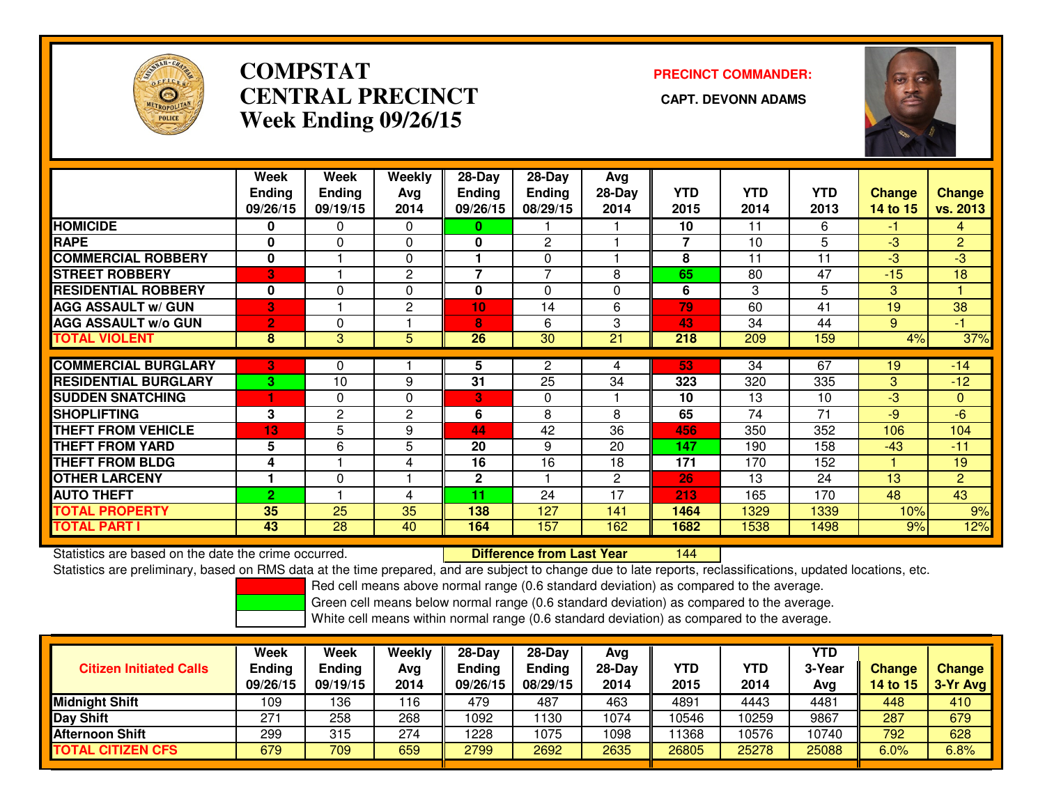

## **COMPSTATCENTRAL PRECINCT Week Ending 09/26/15**

# **PRECINCT COMMANDER:**



|                             | Week           | Week          | Weekly       | 28-Day         | 28-Day         | Avg      |            |            |            |               |                |
|-----------------------------|----------------|---------------|--------------|----------------|----------------|----------|------------|------------|------------|---------------|----------------|
|                             | <b>Ending</b>  | <b>Ending</b> | Avg          | <b>Ending</b>  | <b>Ending</b>  | $28-Day$ | <b>YTD</b> | <b>YTD</b> | <b>YTD</b> | <b>Change</b> | <b>Change</b>  |
|                             | 09/26/15       | 09/19/15      | 2014         | 09/26/15       | 08/29/15       | 2014     | 2015       | 2014       | 2013       | 14 to 15      | vs. 2013       |
| <b>HOMICIDE</b>             | 0              | 0             | $\Omega$     | 0              |                |          | 10         | 11         | 6          | -1            | 4              |
| <b>RAPE</b>                 | 0              | 0             | 0            | 0              | 2              |          | 7          | 10         | 5          | $-3$          | $\overline{2}$ |
| <b>COMMERCIAL ROBBERY</b>   | $\mathbf{0}$   |               | $\Omega$     |                | $\Omega$       |          | 8          | 11         | 11         | $-3$          | $-3$           |
| <b>STREET ROBBERY</b>       | 3              |               | 2            | $\overline{7}$ | $\overline{7}$ | 8        | 65         | 80         | 47         | $-15$         | 18             |
| <b>RESIDENTIAL ROBBERY</b>  | $\mathbf{0}$   | 0             | $\Omega$     | 0              | $\Omega$       | $\Omega$ | 6          | 3          | 5          | 3             | 4              |
| <b>AGG ASSAULT w/ GUN</b>   | 3              |               | $\mathbf{2}$ | 10             | 14             | 6        | 79         | 60         | 41         | 19            | 38             |
| <b>AGG ASSAULT w/o GUN</b>  | $\overline{2}$ | 0             |              | 8              | 6              | 3        | 43         | 34         | 44         | 9             | $-1$           |
| <b>TOTAL VIOLENT</b>        | 8              | 3             | 5            | 26             | 30             | 21       | 218        | 209        | 159        | 4%            | 37%            |
|                             |                |               |              |                |                |          |            |            |            |               |                |
| <b>COMMERCIAL BURGLARY</b>  | 3              | 0             |              | 5              | 2              | 4        | 53         | 34         | 67         | 19            | $-14$          |
| <b>RESIDENTIAL BURGLARY</b> | 3              | 10            | 9            | 31             | 25             | 34       | 323        | 320        | 335        | 3             | $-12$          |
| <b>ISUDDEN SNATCHING</b>    |                | 0             | 0            | 3              | $\Omega$       |          | 10         | 13         | 10         | $-3$          | $\mathbf{0}$   |
| <b>SHOPLIFTING</b>          | 3              | $\mathbf{2}$  | $\mathbf{2}$ | 6              | 8              | 8        | 65         | 74         | 71         | $-9$          | $-6$           |
| <b>THEFT FROM VEHICLE</b>   | 13             | 5             | 9            | 44             | 42             | 36       | 456        | 350        | 352        | 106           | 104            |
| <b>THEFT FROM YARD</b>      | 5              | 6             | 5            | 20             | 9              | 20       | 147        | 190        | 158        | $-43$         | $-11$          |
| <b>THEFT FROM BLDG</b>      | 4              |               | 4            | 16             | 16             | 18       | 171        | 170        | 152        |               | 19             |
| <b>OTHER LARCENY</b>        |                | 0             |              | $\mathbf 2$    |                | 2        | 26         | 13         | 24         | 13            | $\overline{2}$ |
| <b>AUTO THEFT</b>           | $\overline{2}$ |               | 4            | 11             | 24             | 17       | 213        | 165        | 170        | 48            | 43             |
| <b>TOTAL PROPERTY</b>       | 35             | 25            | 35           | 138            | 127            | 141      | 1464       | 1329       | 1339       | 10%           | 9%             |
| <b>TOTAL PART I</b>         | 43             | 28            | 40           | 164            | 157            | 162      | 1682       | 1538       | 1498       | 9%            | 12%            |

Statistics are based on the date the crime occurred. **Difference from Last Year** 

<sup>144</sup>

Statistics are preliminary, based on RMS data at the time prepared, and are subject to change due to late reports, reclassifications, updated locations, etc.

Red cell means above normal range (0.6 standard deviation) as compared to the average.

Green cell means below normal range (0.6 standard deviation) as compared to the average.

| <b>Citizen Initiated Calls</b> | Week<br><b>Ending</b><br>09/26/15 | Week<br><b>Ending</b><br>09/19/15 | Weekly<br>Avg<br>2014 | 28-Day<br><b>Ending</b><br>09/26/15 | $28-Dav$<br><b>Ending</b><br>08/29/15 | Avg<br>28-Dav<br>2014 | <b>YTD</b><br>2015 | <b>YTD</b><br>2014 | YTD<br>3-Year<br>Avg | <b>Change</b><br>14 to 15 | <b>Change</b><br>$3-Yr$ Avg |
|--------------------------------|-----------------------------------|-----------------------------------|-----------------------|-------------------------------------|---------------------------------------|-----------------------|--------------------|--------------------|----------------------|---------------------------|-----------------------------|
| <b>Midnight Shift</b>          | 109                               | 136                               | 116                   | 479                                 | 487                                   | 463                   | 4891               | 4443               | 4481                 | 448                       | 410                         |
| Day Shift                      | 271                               | 258                               | 268                   | 1092                                | 130                                   | 1074                  | 10546              | 0259               | 9867                 | 287                       | 679                         |
| <b>Afternoon Shift</b>         | 299                               | 315                               | 274                   | 1228                                | 1075                                  | 1098                  | 11368              | 0576               | 10740                | 792                       | 628                         |
| <b>TOTAL CITIZEN CFS</b>       | 679                               | 709                               | 659                   | 2799                                | 2692                                  | 2635                  | 26805              | 25278              | 25088                | 6.0%                      | 6.8%                        |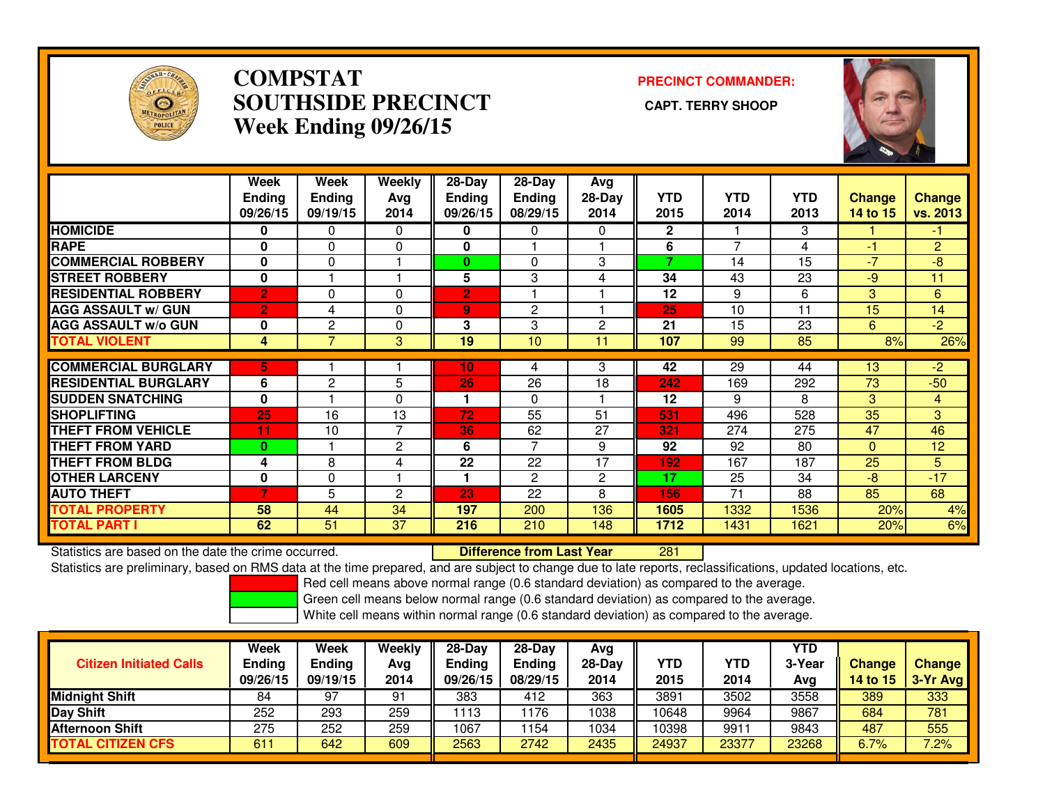

## **COMPSTAT PRECINCT COMMANDER: SOUTHSIDE PRECINCT CAPT. TERRY SHOOPWeek Ending 09/26/15**



|                             | Week<br><b>Ending</b><br>09/26/15 | Week<br><b>Ending</b><br>09/19/15 | Weekly<br>Avg<br>2014 | $28-Day$<br><b>Ending</b><br>09/26/15 | $28-Day$<br><b>Ending</b><br>08/29/15 | Avg<br>$28-Day$<br>2014 | <b>YTD</b><br>2015 | <b>YTD</b><br>2014 | <b>YTD</b><br>2013 | <b>Change</b><br>14 to 15 | <b>Change</b><br>vs. 2013 |
|-----------------------------|-----------------------------------|-----------------------------------|-----------------------|---------------------------------------|---------------------------------------|-------------------------|--------------------|--------------------|--------------------|---------------------------|---------------------------|
| <b>HOMICIDE</b>             | 0                                 | 0                                 | 0                     | 0                                     | 0                                     | 0                       | 2                  |                    | 3                  |                           | -1                        |
| <b>RAPE</b>                 | $\bf{0}$                          | $\Omega$                          | $\Omega$              | 0                                     |                                       |                         | 6                  | 7                  | 4                  | -1                        | $\overline{2}$            |
| <b>COMMERCIAL ROBBERY</b>   | $\bf{0}$                          | $\Omega$                          |                       | $\bf{0}$                              | $\Omega$                              | 3                       | 7                  | 14                 | 15                 | $-7$                      | $-8$                      |
| <b>STREET ROBBERY</b>       | $\mathbf{0}$                      |                                   |                       | 5                                     | 3                                     | 4                       | 34                 | 43                 | 23                 | $-9$                      | 11                        |
| <b>RESIDENTIAL ROBBERY</b>  | $\overline{2}$                    | $\Omega$                          | $\Omega$              | $\overline{2}$                        |                                       |                         | 12                 | 9                  | 6                  | 3                         | 6                         |
| <b>AGG ASSAULT w/ GUN</b>   | $\overline{2}$                    | 4                                 | $\Omega$              | 9                                     | $\overline{2}$                        |                         | 25                 | 10                 | 11                 | 15                        | 14                        |
| <b>AGG ASSAULT w/o GUN</b>  | 0                                 | $\mathbf{2}$                      | $\Omega$              | 3                                     | 3                                     | 2                       | 21                 | 15                 | 23                 | 6                         | $-2$                      |
| <b>TOTAL VIOLENT</b>        | 4                                 | $\overline{7}$                    | 3                     | 19                                    | 10                                    | 11                      | 107                | 99                 | 85                 | 8%                        | 26%                       |
|                             |                                   |                                   |                       |                                       |                                       |                         |                    |                    |                    |                           |                           |
| <b>COMMERCIAL BURGLARY</b>  | 5                                 |                                   |                       | 10                                    | 4                                     | 3                       | 42                 | $\overline{29}$    | 44                 | 13                        | $\overline{2}$            |
| <b>RESIDENTIAL BURGLARY</b> | 6                                 | $\mathbf{2}$                      | 5                     | 26                                    | 26                                    | 18                      | 242                | 169                | 292                | 73                        | $-50$                     |
| <b>SUDDEN SNATCHING</b>     | $\bf{0}$                          |                                   | $\Omega$              |                                       | $\Omega$                              |                         | 12                 | 9                  | 8                  | 3                         | 4                         |
| <b>SHOPLIFTING</b>          | 25                                | 16                                | 13                    | 72                                    | 55                                    | 51                      | 531                | 496                | 528                | 35                        | 3                         |
| <b>THEFT FROM VEHICLE</b>   | 11                                | 10                                | $\overline{7}$        | 36                                    | 62                                    | 27                      | 321                | 274                | 275                | 47                        | 46                        |
| <b>THEFT FROM YARD</b>      | $\bf{0}$                          |                                   | $\mathbf{2}$          | 6                                     | $\overline{ }$                        | 9                       | 92                 | 92                 | 80                 | $\Omega$                  | 12                        |
| <b>THEFT FROM BLDG</b>      | 4                                 | 8                                 | 4                     | 22                                    | 22                                    | 17                      | 192                | 167                | 187                | 25                        | 5                         |
| <b>OTHER LARCENY</b>        | 0                                 | $\mathbf 0$                       |                       |                                       | 2                                     | 2                       | 17                 | 25                 | 34                 | -8                        | $-17$                     |
| <b>AUTO THEFT</b>           | 7                                 | 5                                 | $\overline{2}$        | 23                                    | 22                                    | 8                       | 156                | 71                 | 88                 | 85                        | 68                        |
| <b>TOTAL PROPERTY</b>       | 58                                | 44                                | 34                    | 197                                   | 200                                   | 136                     | 1605               | 1332               | 1536               | 20%                       | 4%                        |
| <b>TOTAL PART I</b>         | 62                                | 51                                | 37                    | 216                                   | 210                                   | 148                     | 1712               | 1431               | 1621               | 20%                       | 6%                        |

Statistics are based on the date the crime occurred. **Difference from Last Year** 

<sup>281</sup>

Statistics are preliminary, based on RMS data at the time prepared, and are subject to change due to late reports, reclassifications, updated locations, etc.

Red cell means above normal range (0.6 standard deviation) as compared to the average.

Green cell means below normal range (0.6 standard deviation) as compared to the average.

| <b>Citizen Initiated Calls</b> | Week<br><b>Ending</b><br>09/26/15 | <b>Week</b><br>Ending<br>09/19/15 | Weekly<br>Avg<br>2014 | $28-Day$<br>Ending<br>09/26/15 | $28$ -Dav<br><b>Ending</b><br>08/29/15 | Ava<br>$28-Day$<br>2014 | YTD<br>2015 | YTD<br>2014 | YTD<br>3-Year<br>Avg | <b>Change</b><br>14 to 15 | <b>Change</b><br>3-Yr Avg |
|--------------------------------|-----------------------------------|-----------------------------------|-----------------------|--------------------------------|----------------------------------------|-------------------------|-------------|-------------|----------------------|---------------------------|---------------------------|
| <b>Midnight Shift</b>          | 84                                | 97                                | 91                    | 383                            | 412                                    | 363                     | 3891        | 3502        | 3558                 | 389                       | 333                       |
| Day Shift                      | 252                               | 293                               | 259                   | 1113                           | 1176                                   | 1038                    | 10648       | 9964        | 9867                 | 684                       | 781                       |
| <b>Afternoon Shift</b>         | 275                               | 252                               | 259                   | 1067                           | ' 154                                  | 1034                    | 10398       | 9911        | 9843                 | 487                       | 555                       |
| <b>TOTAL CITIZEN CFS</b>       | 611                               | 642                               | 609                   | 2563                           | 2742                                   | 2435                    | 24937       | 23377       | 23268                | 6.7%                      | 7.2%                      |